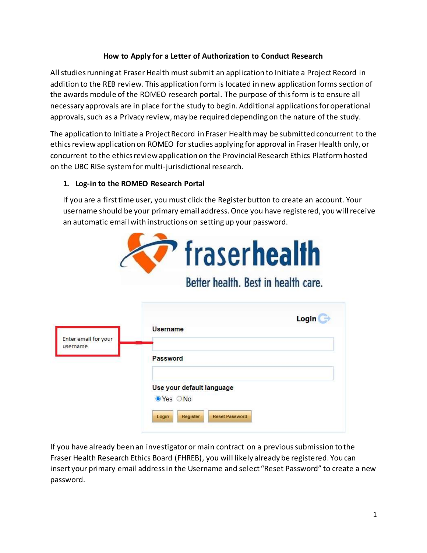## **How to Apply for a Letter of Authorization to Conduct Research**

All studies running at Fraser Health must submit an application to Initiate a Project Record in addition to the REB review. This application form is located in new application forms section of the awards module of the ROMEO research portal. The purpose of this form is to ensure all necessary approvals are in place for the study to begin. Additional applications for operational approvals, such as a Privacy review, may be required depending on the nature of the study.

The application to Initiate a Project Record in Fraser Health may be submitted concurrent to the ethics review application on ROMEO for studies applying for approval in Fraser Health only, or concurrent to the ethics review application on the Provincial Research Ethics Platform hosted on the UBC RISe system for multi-jurisdictional research.

## **1. Log-in to the ROMEO Research Portal**

If you are a first time user, you must click the Register button to create an account. Your username should be your primary email address. Once you have registered, you will receive an automatic email with instructions on setting up your password.



Better health. Best in health care.

| Enter email for your | Login<br>Username                          |
|----------------------|--------------------------------------------|
| username             | Password                                   |
|                      | Use your default language<br>● Yes ○ No    |
|                      | <b>Reset Password</b><br>Login<br>Register |

If you have already been an investigator or main contract on a previous submission to the Fraser Health Research Ethics Board (FHREB), you will likely already be registered. You can insert your primary email address in the Username and select "Reset Password" to create a new password.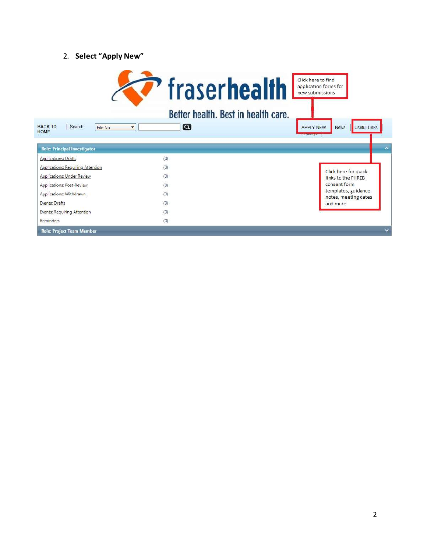## 2. **Select "Apply New"**

| <b>BACK TO</b><br>Search<br>File No.<br><b>HOME</b> | <b>fraserhealth</b><br>Better health. Best in health care.<br>$\boldsymbol{\Omega}$<br>$\overline{\phantom{a}}$ | Click here to find<br>application forms for<br>new submissions<br><b>Useful Links</b><br><b>News</b><br><b>APPLY NEW</b><br><b>OLDINIA DE</b> |
|-----------------------------------------------------|-----------------------------------------------------------------------------------------------------------------|-----------------------------------------------------------------------------------------------------------------------------------------------|
| <b>Role: Principal Investigator</b>                 |                                                                                                                 | $\overline{\phantom{a}}$                                                                                                                      |
| <b>Applications: Drafts</b>                         | (0)                                                                                                             |                                                                                                                                               |
| <b>Applications: Requiring Attention</b>            | (0)                                                                                                             |                                                                                                                                               |
| <b>Applications: Under Review</b>                   | (0)                                                                                                             | Click here for quick<br>links to the FHREB                                                                                                    |
| <b>Applications: Post-Review</b>                    | (0)                                                                                                             | consent form                                                                                                                                  |
| <b>Applications: Withdrawn</b>                      | (0)                                                                                                             | templates, guidance<br>notes, meeting dates                                                                                                   |
| <b>Events: Drafts</b>                               | (0)                                                                                                             | and more                                                                                                                                      |
| <b>Events: Requiring Attention</b>                  | (0)                                                                                                             |                                                                                                                                               |
| Reminders                                           | (0)                                                                                                             |                                                                                                                                               |
| <b>Role: Project Team Member</b>                    |                                                                                                                 |                                                                                                                                               |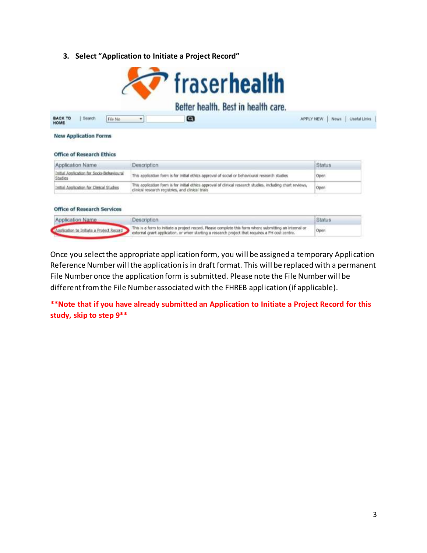**3. Select "Application to Initiate a Project Record"**

|                                                                  | Better health. Best in health care.                                                                                                                              |                                           |
|------------------------------------------------------------------|------------------------------------------------------------------------------------------------------------------------------------------------------------------|-------------------------------------------|
| <b>BACK TO</b><br>Search<br>File No.<br>HOME                     | Θ<br>٠                                                                                                                                                           | <b>APPLY NEW</b><br>Useful Links<br>News: |
| <b>New Application Forms</b><br><b>Office of Research Ethics</b> |                                                                                                                                                                  |                                           |
|                                                                  |                                                                                                                                                                  |                                           |
| Application Name                                                 | <b>Description</b>                                                                                                                                               | <b>Status</b>                             |
| Initial Application for Socio-Behavioural<br>Studies             | This application form is for initial ethics approval of social or behavioural research studies                                                                   | Open                                      |
| Initial Application for Clinical Studies                         | This application form is for initial ethics approval of clinical research studies, including chart reviews,<br>clinical research registries, and clinical trials | Open                                      |
|                                                                  |                                                                                                                                                                  |                                           |
| <b>Office of Research Services</b><br><b>Application Name</b>    | Description                                                                                                                                                      | <b>Status</b>                             |

Once you select the appropriate application form, you will be assigned a temporary Application Reference Number will the application is in draft format. This will be replaced with a permanent File Number once the application form is submitted. Please note the File Number will be different from the File Number associated with the FHREB application (if applicable).

**\*\*Note that if you have already submitted an Application to Initiate a Project Record for this study, skip to step 9\*\***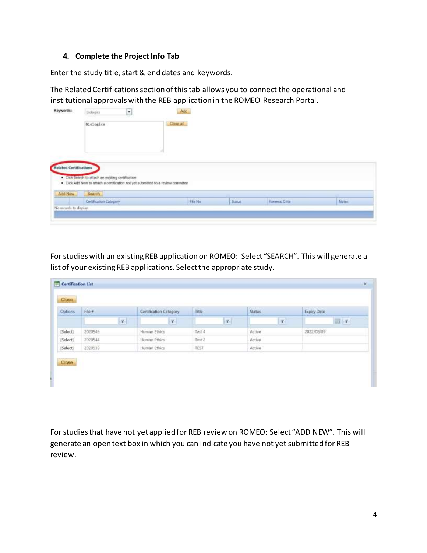## **4. Complete the Project Info Tab**

Enter the study title, start & end dates and keywords.

The Related Certifications section of this tab allows you to connect the operational and institutional approvals with the REB application in the ROMEO Research Portal.

| <b>Biologics</b>                                   | Citiar all    |                                                                                   |                     |              |
|----------------------------------------------------|---------------|-----------------------------------------------------------------------------------|---------------------|--------------|
|                                                    |               |                                                                                   |                     |              |
|                                                    |               |                                                                                   |                     |              |
|                                                    |               |                                                                                   |                     |              |
| . Click Search to attach an existing certification |               |                                                                                   |                     |              |
|                                                    |               |                                                                                   |                     |              |
|                                                    |               |                                                                                   |                     |              |
| Certification Category                             | He No         | Status                                                                            | <b>Renewal Date</b> | <b>Notas</b> |
|                                                    | <b>Bearch</b> | . Click Add New to attach a certification not yet submitted to a review committee |                     |              |

For studies with an existing REB application on ROMEO: Select "SEARCH". This will generate a list of your existing REB applications. Select the appropriate study.

| Options  | $Filo$ #     | <b>Certification Category</b> | Dzie           | <b>Status</b> | Expiry Date |
|----------|--------------|-------------------------------|----------------|---------------|-------------|
|          | $\mathbf{Y}$ | $\mathbf{V}_i$                | $\mathbf{Y}_1$ | ¥             | 司マ          |
| [Select] | 2020548      | Human Ethics                  | Test 4         | Active        | 2022/08/09  |
| (Select) | 2020544      | Human Ethics                  | Test 2         | Active        |             |
| (Select) | 2020539      | <b>Human Ethics</b>           | TEST.          | Active        |             |

For studies that have not yet applied for REB review on ROMEO: Select "ADD NEW". This will generate an open text box in which you can indicate you have not yet submitted for REB review.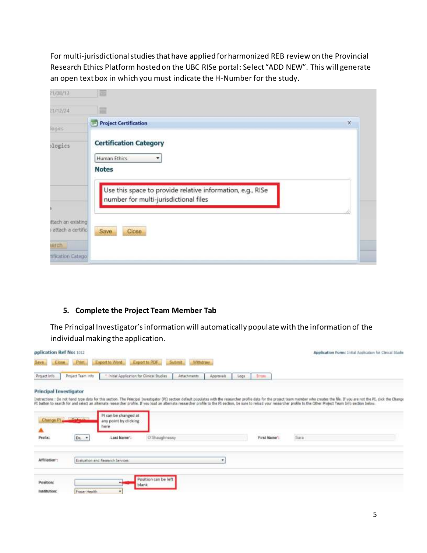For multi-jurisdictional studies that have applied for harmonized REB review on the Provincial Research Ethics Platform hosted on the UBC RISe portal: Select "ADD NEW". This will generate an open text box in which you must indicate the H-Number for the study.

| 21/08/13                                                             | 圜                                                                                                   |             |
|----------------------------------------------------------------------|-----------------------------------------------------------------------------------------------------|-------------|
| 21/12/24                                                             | 圖                                                                                                   |             |
| logics                                                               | <b>Project Certification</b><br>⊟                                                                   | $\mathbf x$ |
| logics                                                               | <b>Certification Category</b><br>Human Ethics<br>۰<br><b>Notes</b>                                  |             |
|                                                                      | Use this space to provide relative information, e.g., RISe<br>number for multi-jurisdictional files |             |
| ttach an existing<br>attach a certific<br>aarch<br>tification Catego | Save<br>Close                                                                                       |             |

#### **5. Complete the Project Team Member Tab**

The Principal Investigator's information will automatically populate with the information of the individual making the application.

| pplication Ref No: 1012       |                   |                                                       |                                |                 |            |      |               |                                                                                                                                                                                                                            | Application Form: Initial Application for Clinical Studio                                                                                                                                                                      |
|-------------------------------|-------------------|-------------------------------------------------------|--------------------------------|-----------------|------------|------|---------------|----------------------------------------------------------------------------------------------------------------------------------------------------------------------------------------------------------------------------|--------------------------------------------------------------------------------------------------------------------------------------------------------------------------------------------------------------------------------|
| Save.<br>Close:               | Print             | Export to Word                                        | Export to PDF                  | Submit Withdraw |            |      |               |                                                                                                                                                                                                                            |                                                                                                                                                                                                                                |
| Project Info                  | Project Team Info | * Initial Application for Clinical Studies            |                                | Attachments     | Approvals. | Logi | <b>Treats</b> |                                                                                                                                                                                                                            |                                                                                                                                                                                                                                |
| <b>Principal Investigator</b> |                   |                                                       |                                |                 |            |      |               |                                                                                                                                                                                                                            |                                                                                                                                                                                                                                |
|                               |                   |                                                       |                                |                 |            |      |               | PI button to search for and select an alternate researcher profile. If you load an alternate researcher profile to the PI section, be sure to reload your researcher profile to the Other Project Team Info section below. | Instructions : Do not hand type data for this section. The Principal Investigator (PE) section default populates with the researcher profile data for the project team member who creates the file. If you are not the PL, cli |
| Change.                       | <b>Chattanh</b>   | Pi can be changed at<br>any point by clicking<br>here |                                |                 |            |      |               |                                                                                                                                                                                                                            |                                                                                                                                                                                                                                |
| Prefix:                       | Dr.               | Last Name":                                           | O'Shaughnessy                  |                 |            |      | First Name"   | Sara                                                                                                                                                                                                                       |                                                                                                                                                                                                                                |
| Affiliation <sup>*</sup>      |                   | Evaluation and Research Services.                     |                                |                 | ٠          |      |               |                                                                                                                                                                                                                            |                                                                                                                                                                                                                                |
| Position:<br>Institution:     | Fraser Health     | $\blacksquare$                                        | Position can be left.<br>blank |                 |            |      |               |                                                                                                                                                                                                                            |                                                                                                                                                                                                                                |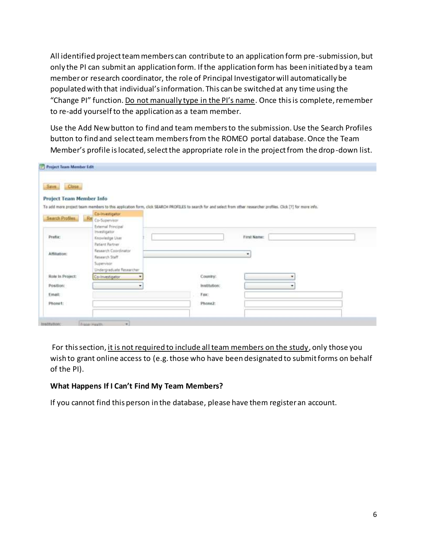All identified project team members can contribute to an application form pre-submission, but only the PI can submit an application form. If the application form has been initiated by a team member or research coordinator, the role of Principal Investigator will automatically be populated with that individual's information. This can be switched at any time using the "Change PI" function. Do not manually type in the PI's name. Once this is complete, remember to re-add yourself to the application as a team member.

Use the Add New button to find and team members to the submission. Use the Search Profiles button to find and select team members from the ROMEO portal database. Once the Team Member's profile is located, select the appropriate role in the project from the drop-down list.

| Close.<br>Save.                 |                                         |                                                                                                                                                                    |
|---------------------------------|-----------------------------------------|--------------------------------------------------------------------------------------------------------------------------------------------------------------------|
| <b>Project Team Member Info</b> |                                         |                                                                                                                                                                    |
|                                 |                                         | To add more project team members to this application form, click SEARCH PROFILES to search for and select from other researcher profiles. Click [7] for more info. |
| <b>Search Profiles</b>          | Co-investigator                         |                                                                                                                                                                    |
|                                 | Re Co-Supervisor<br>External Principal  |                                                                                                                                                                    |
|                                 | Investigator                            |                                                                                                                                                                    |
| Prefix:                         | <b>Knowledge User</b>                   | First Name:                                                                                                                                                        |
|                                 | <b>Patient Partner</b>                  |                                                                                                                                                                    |
| Attiliation:                    | Research Coordinator                    | ٠                                                                                                                                                                  |
|                                 | Research Staff                          |                                                                                                                                                                    |
|                                 | Supervisor.<br>Undergraduate Researcher |                                                                                                                                                                    |
| Role In Project:                | Co-Investigator<br>٠                    | Country:<br>٠                                                                                                                                                      |
|                                 |                                         |                                                                                                                                                                    |
| Position:                       | ٠                                       | institution:<br>٠                                                                                                                                                  |
| Email:                          |                                         | Fax:                                                                                                                                                               |
| Phone1:                         |                                         | Phone2:                                                                                                                                                            |

For this section, it is not required to include all team members on the study, only those you wish to grant online access to (e.g. those who have been designated to submit forms on behalf of the PI).

## **What Happens If I Can't Find My Team Members?**

If you cannot find this person in the database, please have them register an account.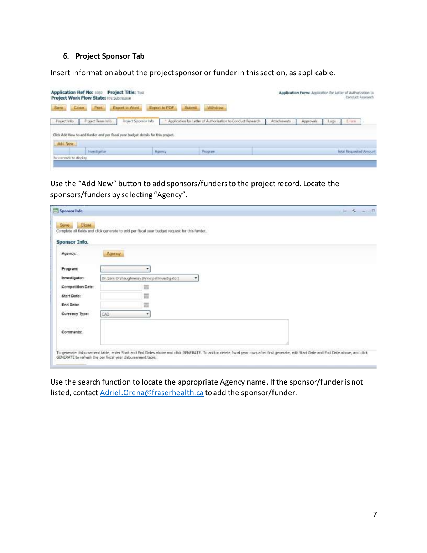### **6. Project Sponsor Tab**

Insert information about the project sponsor or funder in this section, as applicable.

| Application Ref No: 1030<br>Project Work Flow State: Pre Submission |                   | Project Title: Test                                                              |               |                                                               |             | Application Form: Acpication for Letter of Authorization to |      | <b>Conduct Research</b> |  |
|---------------------------------------------------------------------|-------------------|----------------------------------------------------------------------------------|---------------|---------------------------------------------------------------|-------------|-------------------------------------------------------------|------|-------------------------|--|
| Save<br>Close                                                       | <b>Print</b>      | Export to Word                                                                   | Export to PDF | <b>Withdraw</b><br><b>Submit</b>                              |             |                                                             |      |                         |  |
| Froject Info                                                        | Froject Team Info | Project Sponsor Info                                                             |               | * Application for Letter of Authorization to Conduct Research | Attachments | Approvals                                                   | Logi | <b>Enters</b>           |  |
|                                                                     |                   | Click Add New to add funder and per fiscal year budget details for this project. |               |                                                               |             |                                                             |      |                         |  |
| Add New<br>No records to display.                                   | Investigator      |                                                                                  | Agency        | Program                                                       |             |                                                             |      | Total Requested Amount  |  |
|                                                                     |                   |                                                                                  |               |                                                               |             |                                                             |      |                         |  |

Use the "Add New" button to add sponsors/funders to the project record. Locate the sponsors/funders by selecting "Agency".

| Close<br>Save.    |                                                                                                                                                                                           |   |  |  |  |
|-------------------|-------------------------------------------------------------------------------------------------------------------------------------------------------------------------------------------|---|--|--|--|
|                   | Complete all fields and click generate to add per fiscal year budget request for this funder.                                                                                             |   |  |  |  |
| Sponsor Info.     |                                                                                                                                                                                           |   |  |  |  |
| Agency:           | Agency                                                                                                                                                                                    |   |  |  |  |
| Program:          | ٠                                                                                                                                                                                         |   |  |  |  |
| Investigator:     | Dr. Sara O'Shaughnessy (Principal Investigator).                                                                                                                                          | ٠ |  |  |  |
| Competition Date: | m                                                                                                                                                                                         |   |  |  |  |
| Start Date:       | <b>FRIDE</b><br><b>ITTL</b>                                                                                                                                                               |   |  |  |  |
| End Date:         | si li                                                                                                                                                                                     |   |  |  |  |
| Currency Type:    | CAD<br>٠                                                                                                                                                                                  |   |  |  |  |
| Comments:         |                                                                                                                                                                                           |   |  |  |  |
|                   |                                                                                                                                                                                           |   |  |  |  |
|                   | To generate disbursement table, enter Start and End Dates above and click GENERATE. To add or delete fiscal year rows after first generate, edit Start Date and End Date above, and click |   |  |  |  |

Use the search function to locate the appropriate Agency name. If the sponsor/funder is not listed, contact **Adriel.Orena@fraserhealth.ca** to add the sponsor/funder.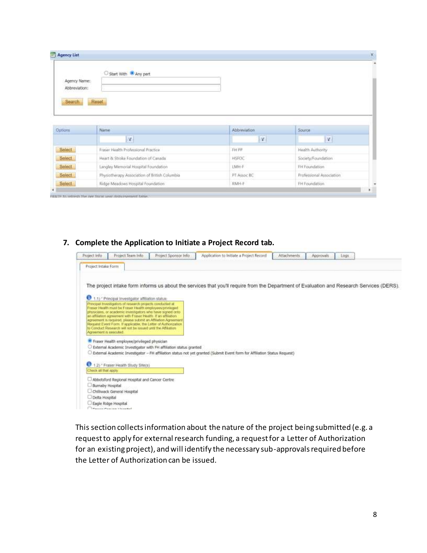| Agency List   |                                     |                           |                  | $\mathsf{x}$ |
|---------------|-------------------------------------|---------------------------|------------------|--------------|
|               | Start With <sup>@</sup> Any part    |                           |                  | ۰            |
| Agency Name:  |                                     |                           |                  |              |
| Abbreviation: |                                     |                           |                  |              |
| Search        | Reset                               |                           |                  |              |
|               |                                     |                           |                  |              |
|               |                                     |                           |                  |              |
| Options       | Name                                | Abbreviation              | <b>Source</b>    |              |
|               | $\mathbf{v}$                        | $\vert \mathcal{A} \vert$ | V                |              |
| Select        | Fraser Health Professional Practice | FH PP                     | Health Authority |              |

## **7. Complete the Application to Initiate a Project Record tab.**

Langley Memorial Hospital Foundation

Ridge Meadows Hospital Foundation

Physiotherapy Association of British Columbia

Select

Select

Select

**FRATE IN THEFT THE IVE TO** 

| Project Info           | Project Team Info.                                                                                                              | Project Sponsor Info                                              | Application to Initiate a Project Record                                                                                                  | Attachments | Approvals<br>Logs |  |
|------------------------|---------------------------------------------------------------------------------------------------------------------------------|-------------------------------------------------------------------|-------------------------------------------------------------------------------------------------------------------------------------------|-------------|-------------------|--|
| Project Intake Form    |                                                                                                                                 |                                                                   |                                                                                                                                           |             |                   |  |
|                        |                                                                                                                                 |                                                                   |                                                                                                                                           |             |                   |  |
|                        |                                                                                                                                 |                                                                   | The project intake form informs us about the services that you'll require from the Department of Evaluation and Research Services (DERS). |             |                   |  |
|                        | 1.1) * Principal Investigator affiliation status:                                                                               |                                                                   |                                                                                                                                           |             |                   |  |
|                        | Principal Investigators of research projects conducted at                                                                       |                                                                   |                                                                                                                                           |             |                   |  |
|                        | Fraser Health must be Fraser Health employees/privileged<br>physicians, or academic investigators who have signed criti-        |                                                                   |                                                                                                                                           |             |                   |  |
|                        | an affiliation agreement with Fraser Health. If an affiliation<br>agreement is required, plaase submit an Affiliation Agreement |                                                                   |                                                                                                                                           |             |                   |  |
|                        | Request Event Form. If applicable, the Letter of Authorization<br>to Conduct Research will not be issued until the Affiliation  |                                                                   |                                                                                                                                           |             |                   |  |
| Acrooment is executed. |                                                                                                                                 |                                                                   |                                                                                                                                           |             |                   |  |
|                        | Fraser Health employee/privileged physician                                                                                     |                                                                   |                                                                                                                                           |             |                   |  |
|                        |                                                                                                                                 | External Academic Investigator with FH affiliation status granted | External Academic Investigator - FH affiliation status not yet granted (Submit Event form for Affiliation Status Request)                 |             |                   |  |
|                        |                                                                                                                                 |                                                                   |                                                                                                                                           |             |                   |  |
| o                      | 1.2) * Fraser Health Study She(s)                                                                                               |                                                                   |                                                                                                                                           |             |                   |  |
| Check oil that apply   |                                                                                                                                 |                                                                   |                                                                                                                                           |             |                   |  |
|                        | Abbotsford Regional Hospital and Cancer Centre                                                                                  |                                                                   |                                                                                                                                           |             |                   |  |
| Burnaby Hospital       | Chiliwack General Hospital                                                                                                      |                                                                   |                                                                                                                                           |             |                   |  |
| Delta Hospital         |                                                                                                                                 |                                                                   |                                                                                                                                           |             |                   |  |
|                        | Eagle Ridge Hospital                                                                                                            |                                                                   |                                                                                                                                           |             |                   |  |
|                        | The complete the control                                                                                                        |                                                                   |                                                                                                                                           |             |                   |  |

LMH-F

**RMH-F** 

PT Assoc BC

FH Foundation

FH Foundation

Professional Association

This section collects information about the nature of the project being submitted (e.g. a request to apply for external research funding, a request for a Letter of Authorization for an existing project), and will identify the necessary sub-approvals required before the Letter of Authorization can be issued.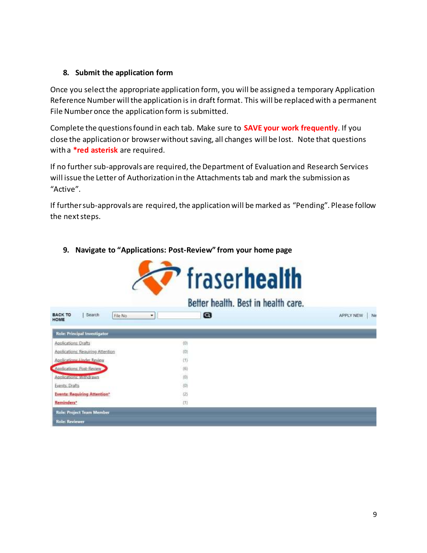## **8. Submit the application form**

Once you select the appropriate application form, you will be assigned a temporary Application Reference Numberwill the application is in draft format. This will be replaced with a permanent File Number once the application form is submitted.

Complete the questions found in each tab. Make sure to **SAVE your work frequently**. If you close the application or browser without saving, all changes will be lost. Note that questions with a **\*red asterisk** are required.

If no further sub-approvals are required, the Department of Evaluation and Research Services will issue the Letter of Authorization in the Attachments tab and mark the submission as "Active".

If further sub-approvals are required, the application will be marked as "Pending". Please follow the next steps.



## **9. Navigate to "Applications: Post-Review" from your home page**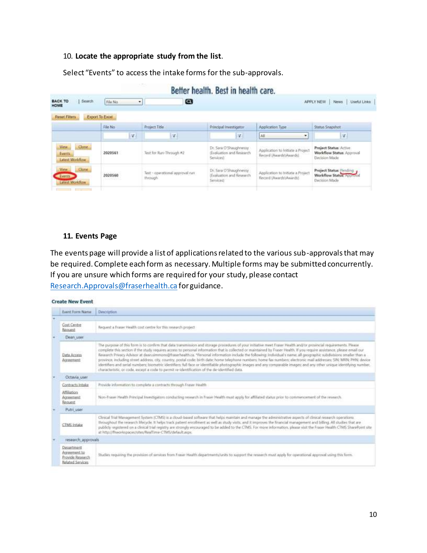#### 10. **Locate the appropriate study from the list**.

Select "Events" to access the intake forms for the sub-approvals.

# Better health, Best in health care.

| Search<br><b>BACK TO</b><br><b>HOME</b>           | File No<br>۰                                | Q                                           |                                                                                |                                                              | Useful Links<br>APPLY NEW<br>News:                                    |
|---------------------------------------------------|---------------------------------------------|---------------------------------------------|--------------------------------------------------------------------------------|--------------------------------------------------------------|-----------------------------------------------------------------------|
| <b>Reset Fiters</b>                               | Export To Excel                             |                                             |                                                                                |                                                              |                                                                       |
|                                                   | File No.                                    | Project Title                               | Principal Investigator                                                         | Application Type                                             | Status Snapshot                                                       |
|                                                   | N                                           | $ \nabla $                                  | $ \mathcal{F} $                                                                | All<br>۰                                                     | $\mathcal{R}$                                                         |
| <b>Clune</b><br>View<br>Events<br>Latest Worldfow | 2020561                                     | Test for Run-Through #2                     | Dr. Sara O'Shaughnessy<br>(Evaluation and Research)<br>Services                | Application to Initiate a Project<br>Record (Awards'Awards)  | Project Status: Active.<br>Workflow Status: Approval<br>Decision Made |
| Clone<br><b>View</b><br>Events<br>Latest Workflow | <b>CONSULTA</b><br>2020560<br>5.66 56.89 N. | Test - operational approval run<br>through. | Dr. Sara D'Shaughnessy<br>(Evaluation and Research)<br>Services)<br>dio tenero | Application to Initiate a Project<br>Record (Awards) Awards) | Project Status: Pending<br>Workflow Status: Aconval<br>Decision Made  |

#### **11. Events Page**

The events page will provide a list of applications related to the various sub-approvals that may be required. Complete each form as necessary. Multiple forms may be submitted concurrently. If you are unsure which forms are required for your study, please contact [Research.Approvals@fraserhealth.ca](mailto:Research.Approvals@fraserhealth.ca) for guidance.

#### **Create New Event**

| Event Form Name:                                                   | <b>Description</b>                                                                                                                                                                                                                                                                                                                                                                                                                                                                                                                                                                                                                                                                                                                                                                                                                                                                                                                                                        |  |  |  |  |
|--------------------------------------------------------------------|---------------------------------------------------------------------------------------------------------------------------------------------------------------------------------------------------------------------------------------------------------------------------------------------------------------------------------------------------------------------------------------------------------------------------------------------------------------------------------------------------------------------------------------------------------------------------------------------------------------------------------------------------------------------------------------------------------------------------------------------------------------------------------------------------------------------------------------------------------------------------------------------------------------------------------------------------------------------------|--|--|--|--|
|                                                                    |                                                                                                                                                                                                                                                                                                                                                                                                                                                                                                                                                                                                                                                                                                                                                                                                                                                                                                                                                                           |  |  |  |  |
| Cost Centre<br>Recruent                                            | Request a Fraser Health cost centre for this research project.                                                                                                                                                                                                                                                                                                                                                                                                                                                                                                                                                                                                                                                                                                                                                                                                                                                                                                            |  |  |  |  |
| Dean user                                                          |                                                                                                                                                                                                                                                                                                                                                                                                                                                                                                                                                                                                                                                                                                                                                                                                                                                                                                                                                                           |  |  |  |  |
| Data Access<br>Agreement                                           | The purpose of this form is to confirm that data transmission and storage procedures of your initiative meet Fraser Health and/or provincial requirements. Please<br>complete this section if the study requires access to personal information that is collected or maintained by Fraser Health. If you require assistance, please email our<br>Research Privacy Advisor at deansimmons@fraserhealth.ca. "Personal information include the following: individual's name; all geographic subdivisions smaller than a<br>province, including street address, city, country, postal code birth date; home telephone numbers home fax numbers; electronic mail addresses; SIN; MRN; PHN; device<br>identifiers and serial numbers; biometric identifiers; full face or identifiable photographic images and any comparable images; and any other unique identifying number,<br>characteristic, or code, except a code to permit re-identification of the de-identified data. |  |  |  |  |
| Octavia user                                                       |                                                                                                                                                                                                                                                                                                                                                                                                                                                                                                                                                                                                                                                                                                                                                                                                                                                                                                                                                                           |  |  |  |  |
| Contracts Intake                                                   | Provide information to complete a contracts through Fraser Health                                                                                                                                                                                                                                                                                                                                                                                                                                                                                                                                                                                                                                                                                                                                                                                                                                                                                                         |  |  |  |  |
| Affiliation<br>Acceement<br>Recruest                               | Non-Frauer Health Principal Imestigators conducting research in Fraser Health must apply for affiliated status prior to commencement of the research                                                                                                                                                                                                                                                                                                                                                                                                                                                                                                                                                                                                                                                                                                                                                                                                                      |  |  |  |  |
| Putri user                                                         |                                                                                                                                                                                                                                                                                                                                                                                                                                                                                                                                                                                                                                                                                                                                                                                                                                                                                                                                                                           |  |  |  |  |
| <b>CTMS</b> Intake                                                 | Clinical Trial Management System (CTMS) is a cloud-based software that helps maintain and manage the administrative aspects of clinical research operations.<br>throughout the research lifecycle. It helps track patient enrollment as well as study visits, and it improves the financial management and billing. All studies that are<br>publicly registered on a clinical trial registry are strongly encouraged to be added to the CTMS. For more information, please visit the Frager Health CTMS SharePoint site<br>at http://frworkspaces/sites/Reaffiree-CTMS/default.asps.                                                                                                                                                                                                                                                                                                                                                                                      |  |  |  |  |
| research approvals.                                                |                                                                                                                                                                                                                                                                                                                                                                                                                                                                                                                                                                                                                                                                                                                                                                                                                                                                                                                                                                           |  |  |  |  |
| Desartment<br>Acceement to<br>Provide Research<br>Related Services | Studies requiring the provision of services from Fraser Health departments/units to support the research must apply for operational approval using this form.                                                                                                                                                                                                                                                                                                                                                                                                                                                                                                                                                                                                                                                                                                                                                                                                             |  |  |  |  |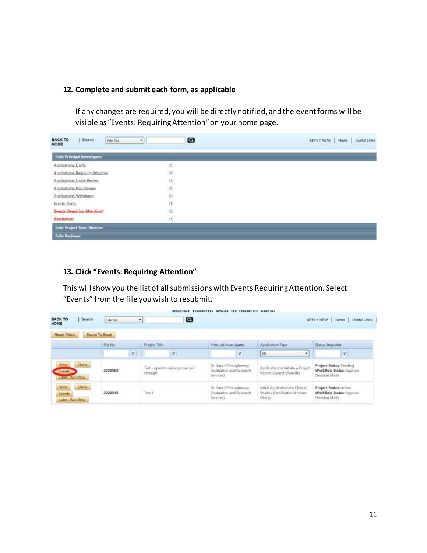## **12. Complete and submit each form, as applicable**

If any changes are required, you will be directly notified, and the event forms will be visible as "Events: Requiring Attention" on your home page.

| Search<br><b>BACK TO</b><br>File No.<br>HOME | $\boldsymbol{\omega}$<br>۰ | APPLY NEW<br>News:<br><b>Useful Links</b> |
|----------------------------------------------|----------------------------|-------------------------------------------|
| <b>Role: Principal Investigator</b>          |                            |                                           |
| Applications: Drafts                         | 10).                       |                                           |
| Applications: Requiring Attention            | 仰                          |                                           |
| Applications: Under Review                   |                            |                                           |
| Applications: Post-Review                    |                            |                                           |
| Applications: Withdrawn                      | 白田田                        |                                           |
| Events: Drafts                               |                            |                                           |
| <b>Events: Requiring Attention*</b>          | (2)                        |                                           |
| Reminders*                                   | (1)                        |                                           |
| <b>Role: Project Team Member</b>             |                            |                                           |
| <b>Role: Reviewer</b>                        |                            |                                           |

### **13. Click "Events: Requiring Attention"**

This will show you the list of all submissions with Events Requiring Attention. Select "Events" from the file you wish to resubmit.

| Search<br><b>BACK TO</b><br>HOME                   | File No<br>×                | ◙                                          |                                                                 |                                                                               | Useful Links<br>APPLY NEW<br>News                                             |
|----------------------------------------------------|-----------------------------|--------------------------------------------|-----------------------------------------------------------------|-------------------------------------------------------------------------------|-------------------------------------------------------------------------------|
| <b>Reset Fiters</b>                                | Export To Excel<br>File No: | Project Title                              | Principal Investigator                                          | Application Type                                                              | Status Snapshot                                                               |
|                                                    | IV.                         | T                                          | IV.                                                             | All<br>٠                                                                      | $\mathbb{Z}$                                                                  |
| View<br>Clone.<br><b>Stoon</b><br>Larger Worldlow  | 2020560                     | Test - operational approval run<br>through | Dr. Sata O'Shaughnessy<br>(Evaluation and Research<br>Serviced  | Application to Initiate a Project<br>Record (Awards'\Awards)                  | Project Status: Pending<br><b>Worldflow Status: Approval</b><br>Decision Made |
| <b>Mew.</b><br>Clone<br>Events:<br>Latest Worldlow | 2020548                     | Test 4                                     | Dr. Sala O'Shaughnessy<br>(Evaluation and Research<br>Services) | Initial Application for Clinical<br>Studies (Certification)/Human<br>Ethics). | Project Status: Active<br>Worldflow Status: Approval<br>Decision Made         |